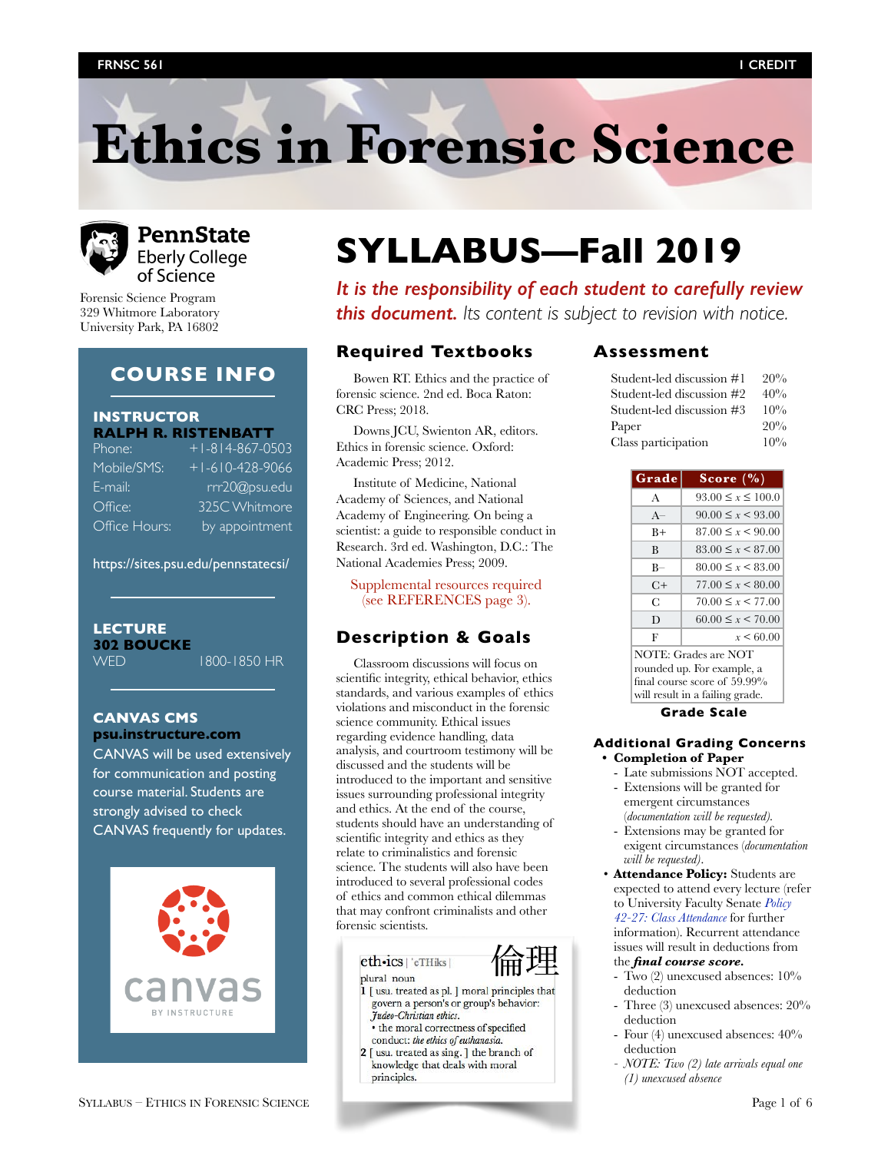# **Ethics in Forensic Science**



# **PennState Eberly College** of Science

Forensic Science Program 329 Whitmore Laboratory University Park, PA 16802

# **COURSE INFO**

# **INSTRUCTOR**

|               | <b>RALPH R. RISTENBATT</b> |
|---------------|----------------------------|
| Phone:        | $+1 - 814 - 867 - 0503$    |
| Mobile/SMS:   | $+1 - 610 - 428 - 9066$    |
| E-mail:       | rrr20@psu.edu              |
| Office:       | 325C Whitmore              |
| Office Hours: | by appointment             |
|               |                            |

<https://sites.psu.edu/pennstatecsi/>

# **LECTURE 302 BOUCKE**

WED 1800-1850 HR

# **[CANVAS CMS](https://psu.instructure.com) [psu.instructure.com](https://psu.instructure.com)**

[CANVAS](https://psu.instructure.com) will be used extensively for communication and posting course material. Students are strongly advised to check [CANVAS](https://psu.instructure.com) frequently for updates.



# **SYLLABUS—Fall 2019**

*It is the responsibility of each student to carefully review this document. Its content is subject to revision with notice.* 

# **Required Textbooks**

Bowen RT. Ethics and the practice of forensic science. 2nd ed. Boca Raton: CRC Press; 2018.

Downs JCU, Swienton AR, editors. Ethics in forensic science. Oxford: Academic Press; 2012.

Institute of Medicine, National Academy of Sciences, and National Academy of Engineering. On being a scientist: a guide to responsible conduct in Research. 3rd ed. Washington, D.C.: The National Academies Press; 2009.

Supplemental resources required (see REFERENCES page 3).

# **Description & Goals**

Classroom discussions will focus on scientific integrity, ethical behavior, ethics standards, and various examples of ethics violations and misconduct in the forensic science community. Ethical issues regarding evidence handling, data analysis, and courtroom testimony will be discussed and the students will be introduced to the important and sensitive issues surrounding professional integrity and ethics. At the end of the course, students should have an understanding of scientific integrity and ethics as they relate to criminalistics and forensic science. The students will also have been introduced to several professional codes of ethics and common ethical dilemmas that may confront criminalists and other forensic scientists.



# plural noun

- 1 [ usu. treated as pl. ] moral principles that govern a person's or group's behavior: Judeo-Christian ethics.
- the moral correctness of specified conduct: the ethics of euthanasia.
- 2 [ usu. treated as sing. ] the branch of knowledge that deals with moral principles.

# **Assessment**

| Student-led discussion #1 | 20%    |
|---------------------------|--------|
| Student-led discussion #2 | 40%    |
| Student-led discussion #3 | $10\%$ |
| Paper                     | 20%    |
| Class participation       | $10\%$ |

| Grade                | Score $(\% )$             |
|----------------------|---------------------------|
| $\mathbf{A}$         | $93.00 \leq x \leq 100.0$ |
| $A-$                 | $90.00 \leq x \leq 93.00$ |
| $B+$                 | $87.00 \leq x \leq 90.00$ |
| B                    | $83.00 \leq x \leq 87.00$ |
| $_{\rm R-}$          | $80.00 \leq x \leq 83.00$ |
| C+                   | $77.00 \le x \le 80.00$   |
| C                    | $70.00 \leq x \leq 77.00$ |
| Ð                    | $60.00 \leq x \leq 70.00$ |
| F                    | $x \le 60.00$             |
| NOTE: Grades are NOT |                           |

rounded up. For example, a final course score of 59.99% will result in a failing grade.

# **Grade Scale**

# **Additional Grading Concerns**

- **• Completion of Paper** 
	- Late submissions NOT accepted. - Extensions will be granted for
	- emergent circumstances (*documentation will be requested).*  - Extensions may be granted for
	- exigent circumstances (*documentation will be requested)*.
- **Attendance Policy:** Students are expected to attend every lecture (refer to University Faculty Senate *[Policy](http://www.senate.psu.edu/policies/separate_policy/42-27.htm)  [42-27: Class Attendance](http://www.senate.psu.edu/policies/separate_policy/42-27.htm)* for further information). Recurrent attendance issues will result in deductions from the *final course score.* 
	- Two (2) unexcused absences: 10% deduction
- Three (3) unexcused absences: 20% deduction
- Four (4) unexcused absences: 40% deduction
- *- NOTE: Two (2) late arrivals equal one (1) unexcused absence*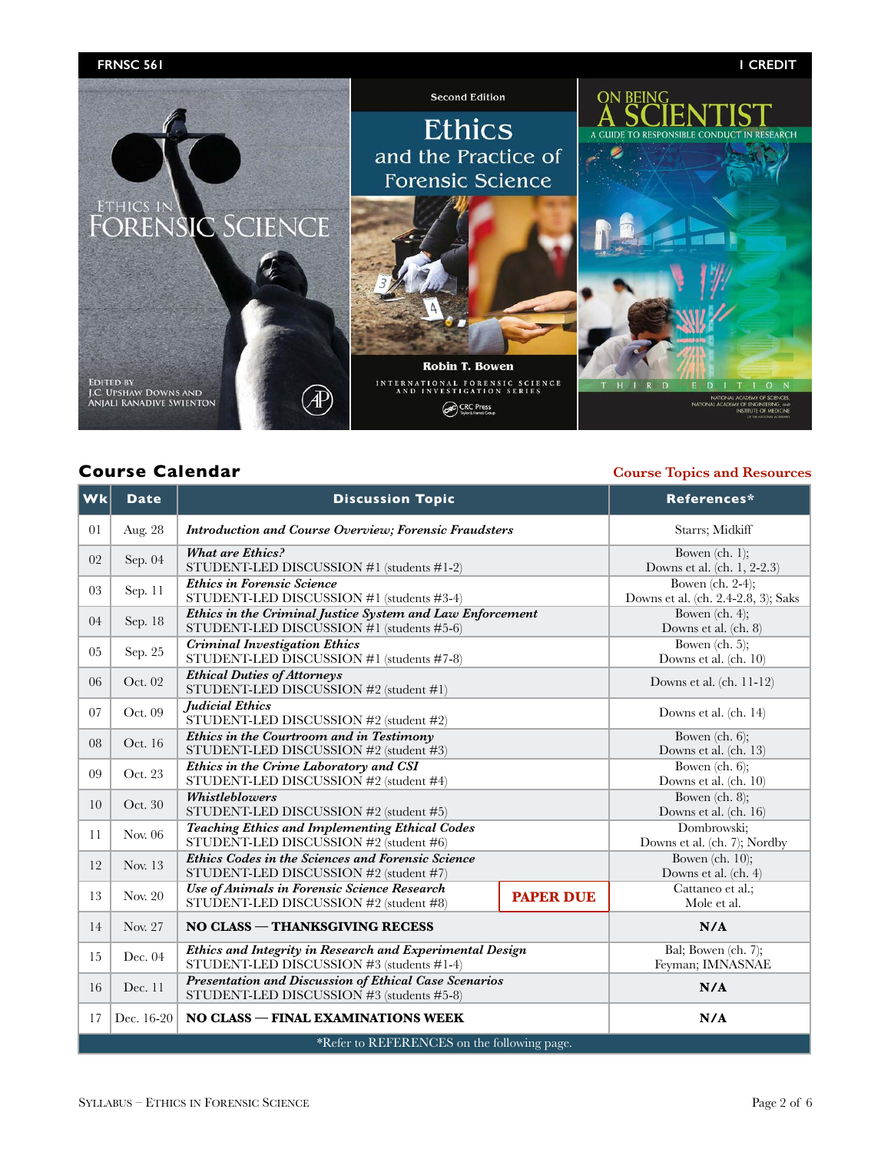

# **Course Calendar Course Topics and Resources**

| Wk                                          | <b>Date</b>                                                                                                       | <b>Discussion Topic</b>                                                                                   |                                                         | References*                                 |  |
|---------------------------------------------|-------------------------------------------------------------------------------------------------------------------|-----------------------------------------------------------------------------------------------------------|---------------------------------------------------------|---------------------------------------------|--|
| 01                                          | Aug. 28<br><b>Introduction and Course Overview; Forensic Fraudsters</b>                                           |                                                                                                           | Starrs; Midkiff                                         |                                             |  |
| 02                                          | <b>What are Ethics?</b><br>Sep. 04<br>STUDENT-LED DISCUSSION #1 (students #1-2)                                   |                                                                                                           | Bowen $(ch. 1);$<br>Downs et al. (ch. 1, 2-2.3)         |                                             |  |
| 03                                          | <b>Ethics in Forensic Science</b><br>Sep. 11<br>STUDENT-LED DISCUSSION #1 (students #3-4)                         |                                                                                                           | Bowen (ch. 2-4);<br>Downs et al. (ch. 2.4-2.8, 3); Saks |                                             |  |
| 04                                          | Ethics in the Criminal Justice System and Law Enforcement<br>Sep. 18<br>STUDENT-LED DISCUSSION #1 (students #5-6) |                                                                                                           | Bowen $(ch. 4);$<br>Downs et al. (ch. 8)                |                                             |  |
| 05                                          | Sep. 25                                                                                                           | <b>Criminal Investigation Ethics</b><br>STUDENT-LED DISCUSSION #1 (students #7-8)                         |                                                         | Bowen $(ch. 5);$<br>Downs et al. (ch. 10)   |  |
| 06                                          | Oct. 02                                                                                                           | <b>Ethical Duties of Attorneys</b><br>STUDENT-LED DISCUSSION #2 (student #1)                              |                                                         | Downs et al. $(ch. 11-12)$                  |  |
| 07                                          | Oct. 09                                                                                                           | <b>Judicial Ethics</b><br>STUDENT-LED DISCUSSION #2 (student #2)                                          |                                                         | Downs et al. (ch. 14)                       |  |
| 08                                          | Oct. 16                                                                                                           | Ethics in the Courtroom and in Testimony<br>STUDENT-LED DISCUSSION #2 (student #3)                        |                                                         | Bowen $(ch. 6);$<br>Downs et al. (ch. 13)   |  |
| 09                                          | Ethics in the Crime Laboratory and CSI<br>Oct. 23<br>STUDENT-LED DISCUSSION #2 (student #4)                       |                                                                                                           | Bowen $(ch. 6);$<br>Downs et al. (ch. 10)               |                                             |  |
| 10                                          | Whistleblowers<br>Oct. 30<br>STUDENT-LED DISCUSSION #2 (student #5)                                               |                                                                                                           | Bowen $(ch. 8);$<br>Downs et al. (ch. 16)               |                                             |  |
| 11                                          | Nov. 06                                                                                                           | <b>Teaching Ethics and Implementing Ethical Codes</b><br>STUDENT-LED DISCUSSION #2 (student #6)           |                                                         | Dombrowski;<br>Downs et al. (ch. 7); Nordby |  |
| 12                                          | Nov. 13                                                                                                           | Ethics Codes in the Sciences and Forensic Science<br>STUDENT-LED DISCUSSION #2 (student #7)               |                                                         | Bowen (ch. $10$ );<br>Downs et al. (ch. 4)  |  |
| 13                                          | Nov. 20                                                                                                           | Use of Animals in Forensic Science Research<br><b>PAPER DUE</b><br>STUDENT-LED DISCUSSION #2 (student #8) |                                                         | Cattaneo et al.;<br>Mole et al.             |  |
| 14                                          | Nov. 27                                                                                                           | NO CLASS - THANKSGIVING RECESS                                                                            |                                                         | N/A                                         |  |
| 15                                          | Ethics and Integrity in Research and Experimental Design<br>Dec. 04<br>STUDENT-LED DISCUSSION #3 (students #1-4)  |                                                                                                           | Bal; Bowen (ch. 7);<br>Feyman; IMNASNAE                 |                                             |  |
| 16                                          | Presentation and Discussion of Ethical Case Scenarios<br>Dec. 11<br>STUDENT-LED DISCUSSION #3 (students #5-8)     |                                                                                                           | N/A                                                     |                                             |  |
| 17                                          | NO CLASS - FINAL EXAMINATIONS WEEK<br>Dec. 16-20                                                                  |                                                                                                           | N/A                                                     |                                             |  |
| *Refer to REFERENCES on the following page. |                                                                                                                   |                                                                                                           |                                                         |                                             |  |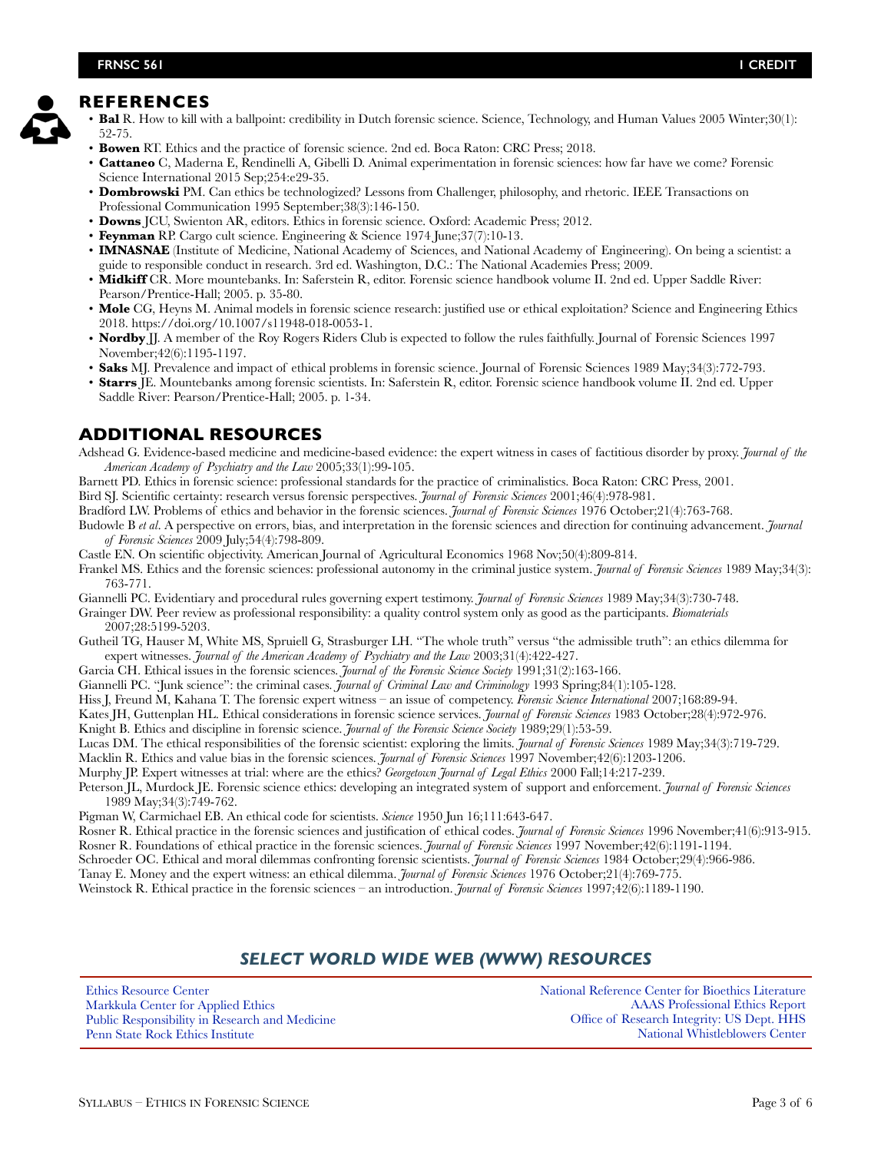# **REFERENCES**

- **Bal** R. How to kill with a ballpoint: credibility in Dutch forensic science. Science, Technology, and Human Values 2005 Winter;30(1): 52-75.
	- **Bowen** RT. Ethics and the practice of forensic science. 2nd ed. Boca Raton: CRC Press; 2018.
	- **Cattaneo** C, Maderna E, Rendinelli A, Gibelli D. Animal experimentation in forensic sciences: how far have we come? Forensic Science International 2015 Sep;254:e29-35.
	- **Dombrowski** PM. Can ethics be technologized? Lessons from Challenger, philosophy, and rhetoric. IEEE Transactions on Professional Communication 1995 September;38(3):146-150.
	- **Downs** JCU, Swienton AR, editors. Ethics in forensic science. Oxford: Academic Press; 2012.
	- **Feynman** RP. Cargo cult science. Engineering & Science 1974 June;37(7):10-13.
	- **IMNASNAE** (Institute of Medicine, National Academy of Sciences, and National Academy of Engineering). On being a scientist: a guide to responsible conduct in research. 3rd ed. Washington, D.C.: The National Academies Press; 2009.
	- **Midkiff** CR. More mountebanks. In: Saferstein R, editor. Forensic science handbook volume II. 2nd ed. Upper Saddle River: Pearson/Prentice-Hall; 2005. p. 35-80.
	- **Mole** CG, Heyns M. Animal models in forensic science research: justified use or ethical exploitation? Science and Engineering Ethics 2018. https://doi.org/10.1007/s11948-018-0053-1.
	- **Nordby** II. A member of the Roy Rogers Riders Club is expected to follow the rules faithfully. Journal of Forensic Sciences 1997 November;42(6):1195-1197.
	- **Saks** MJ. Prevalence and impact of ethical problems in forensic science. Journal of Forensic Sciences 1989 May;34(3):772-793.
	- **Starrs** JE. Mountebanks among forensic scientists. In: Saferstein R, editor. Forensic science handbook volume II. 2nd ed. Upper Saddle River: Pearson/Prentice-Hall; 2005. p. 1-34.

# **ADDITIONAL RESOURCES**

Adshead G. Evidence-based medicine and medicine-based evidence: the expert witness in cases of factitious disorder by proxy. *Journal of the American Academy of Psychiatry and the Law* 2005;33(1):99-105.

Barnett PD. Ethics in forensic science: professional standards for the practice of criminalistics. Boca Raton: CRC Press, 2001. Bird SJ. Scientific certainty: research versus forensic perspectives. *Journal of Forensic Sciences* 2001;46(4):978-981.

Bradford LW. Problems of ethics and behavior in the forensic sciences. *Journal of Forensic Sciences* 1976 October;21(4):763-768.

Budowle B *et al*. A perspective on errors, bias, and interpretation in the forensic sciences and direction for continuing advancement. *Journal of Forensic Sciences* 2009 July;54(4):798-809.

Castle EN. On scientific objectivity. American Journal of Agricultural Economics 1968 Nov;50(4):809-814.

Frankel MS. Ethics and the forensic sciences: professional autonomy in the criminal justice system. *Journal of Forensic Sciences* 1989 May;34(3): 763-771.

Giannelli PC. Evidentiary and procedural rules governing expert testimony. *Journal of Forensic Sciences* 1989 May;34(3):730-748.

Grainger DW. Peer review as professional responsibility: a quality control system only as good as the participants. *Biomaterials* 2007;28:5199-5203.

- Gutheil TG, Hauser M, White MS, Spruiell G, Strasburger LH. "The whole truth" versus "the admissible truth": an ethics dilemma for expert witnesses. *Journal of the American Academy of Psychiatry and the Law* 2003;31(4):422-427.
- Garcia CH. Ethical issues in the forensic sciences. *Journal of the Forensic Science Society* 1991;31(2):163-166.

Giannelli PC. "Junk science": the criminal cases. *Journal of Criminal Law and Criminology* 1993 Spring;84(1):105-128.

Hiss J, Freund M, Kahana T. The forensic expert witness – an issue of competency. *Forensic Science International* 2007;168:89-94.

Kates JH, Guttenplan HL. Ethical considerations in forensic science services. *Journal of Forensic Sciences* 1983 October;28(4):972-976.

Knight B. Ethics and discipline in forensic science. *Journal of the Forensic Science Society* 1989;29(1):53-59.

Lucas DM. The ethical responsibilities of the forensic scientist: exploring the limits. *Journal of Forensic Sciences* 1989 May;34(3):719-729.

Macklin R. Ethics and value bias in the forensic sciences. *Journal of Forensic Sciences* 1997 November;42(6):1203-1206.

Murphy JP. Expert witnesses at trial: where are the ethics? *Georgetown Journal of Legal Ethics* 2000 Fall;14:217-239.

Peterson JL, Murdock JE. Forensic science ethics: developing an integrated system of support and enforcement. *Journal of Forensic Sciences* 1989 May;34(3):749-762.

Pigman W, Carmichael EB. An ethical code for scientists. *Science* 1950 Jun 16;111:643-647.

Rosner R. Ethical practice in the forensic sciences and justification of ethical codes. *Journal of Forensic Sciences* 1996 November;41(6):913-915.

Rosner R. Foundations of ethical practice in the forensic sciences. *Journal of Forensic Sciences* 1997 November;42(6):1191-1194.

Schroeder OC. Ethical and moral dilemmas confronting forensic scientists. *Journal of Forensic Sciences* 1984 October;29(4):966-986.

Tanay E. Money and the expert witness: an ethical dilemma. *Journal of Forensic Sciences* 1976 October;21(4):769-775.

Weinstock R. Ethical practice in the forensic sciences – an introduction. *Journal of Forensic Sciences* 1997;42(6):1189-1190.

# *SELECT WORLD WIDE WEB (WWW) RESOURCES*

[Ethics Resource Center](http://www.ethics.org/)  [Markkula Center for Applied Ethics](http://www.scu.edu/ethics/practicing/decision/whatisethics.html) [Public Responsibility in Research and Medicine](http://www.primr.org/) [Penn State Rock Ethics Institute](http://rockethics.psu.edu/)

[National Reference Center for Bioethics Literature](http://bioethics.georgetown.edu/nrc/) [AAAS Professional Ethics Report](http://www.aaas.org/spp/sfrl/per/newper) [Office of Research Integrity: US Dept. HHS](http://www.ori.dhhs.gov/) [National Whistleblowers Center](http://www.whistleblowers.org/)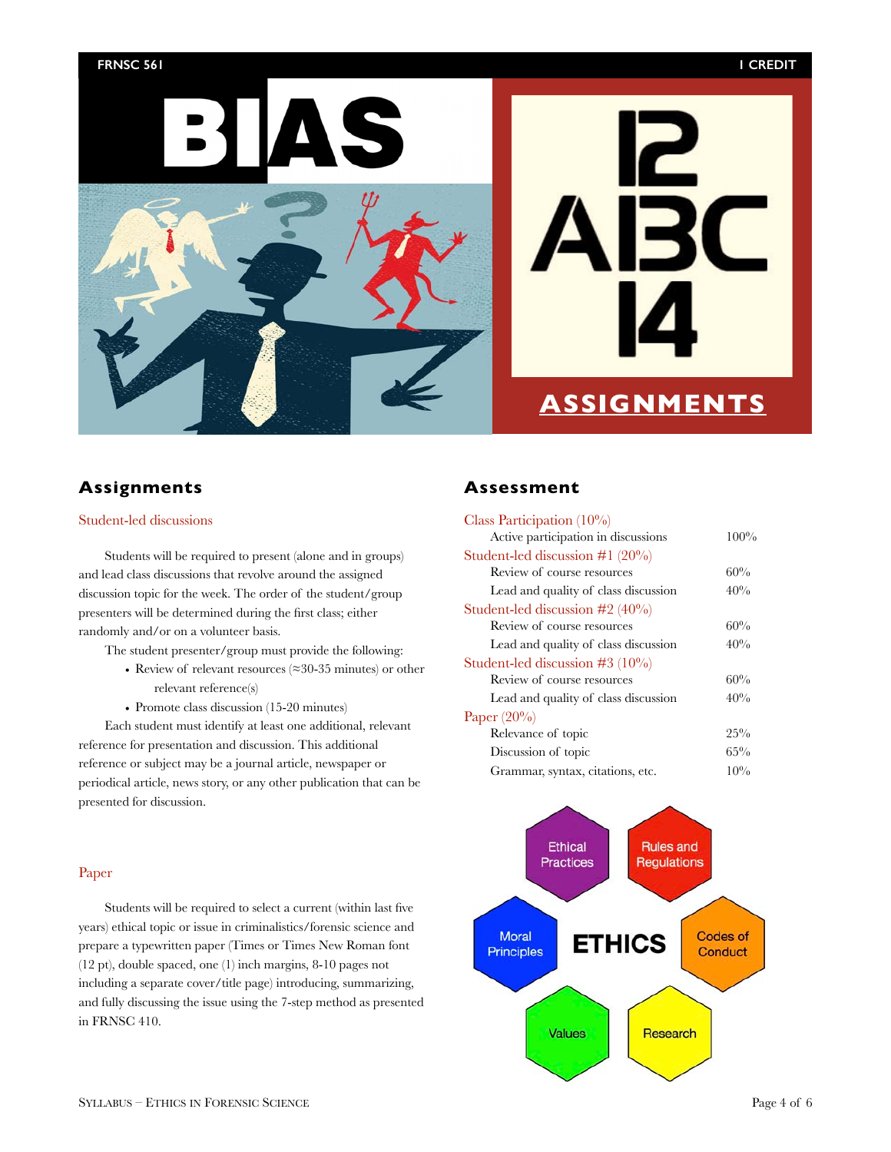## **FRNSC 561 1 CREDIT**





# **ASSIGNMENTS**

# **Assignments**

# Student-led discussions

Students will be required to present (alone and in groups) and lead class discussions that revolve around the assigned discussion topic for the week. The order of the student/group presenters will be determined during the first class; either randomly and/or on a volunteer basis.

The student presenter/group must provide the following:

- Review of relevant resources (≈30-35 minutes) or other relevant reference(s)
- Promote class discussion (15-20 minutes)

Each student must identify at least one additional, relevant reference for presentation and discussion. This additional reference or subject may be a journal article, newspaper or periodical article, news story, or any other publication that can be presented for discussion.

# Paper

Students will be required to select a current (within last five years) ethical topic or issue in criminalistics/forensic science and prepare a typewritten paper (Times or Times New Roman font (12 pt), double spaced, one (1) inch margins, 8-10 pages not including a separate cover/title page) introducing, summarizing, and fully discussing the issue using the 7-step method as presented in FRNSC 410.

# **Assessment**

| Class Participation $(10\%)$         |        |
|--------------------------------------|--------|
| Active participation in discussions  | 100%   |
| Student-led discussion $\#1(20\%)$   |        |
| Review of course resources           | 60%    |
| Lead and quality of class discussion | 40%    |
| Student-led discussion $\#2$ (40%)   |        |
| Review of course resources           | 60%    |
| Lead and quality of class discussion | 40%    |
| Student-led discussion $\#3$ (10%)   |        |
| Review of course resources           | 60%    |
| Lead and quality of class discussion | 40%    |
| Paper $(20\%)$                       |        |
| Relevance of topic                   | 25%    |
| Discussion of topic                  | $65\%$ |
| Grammar, syntax, citations, etc.     | 10%    |

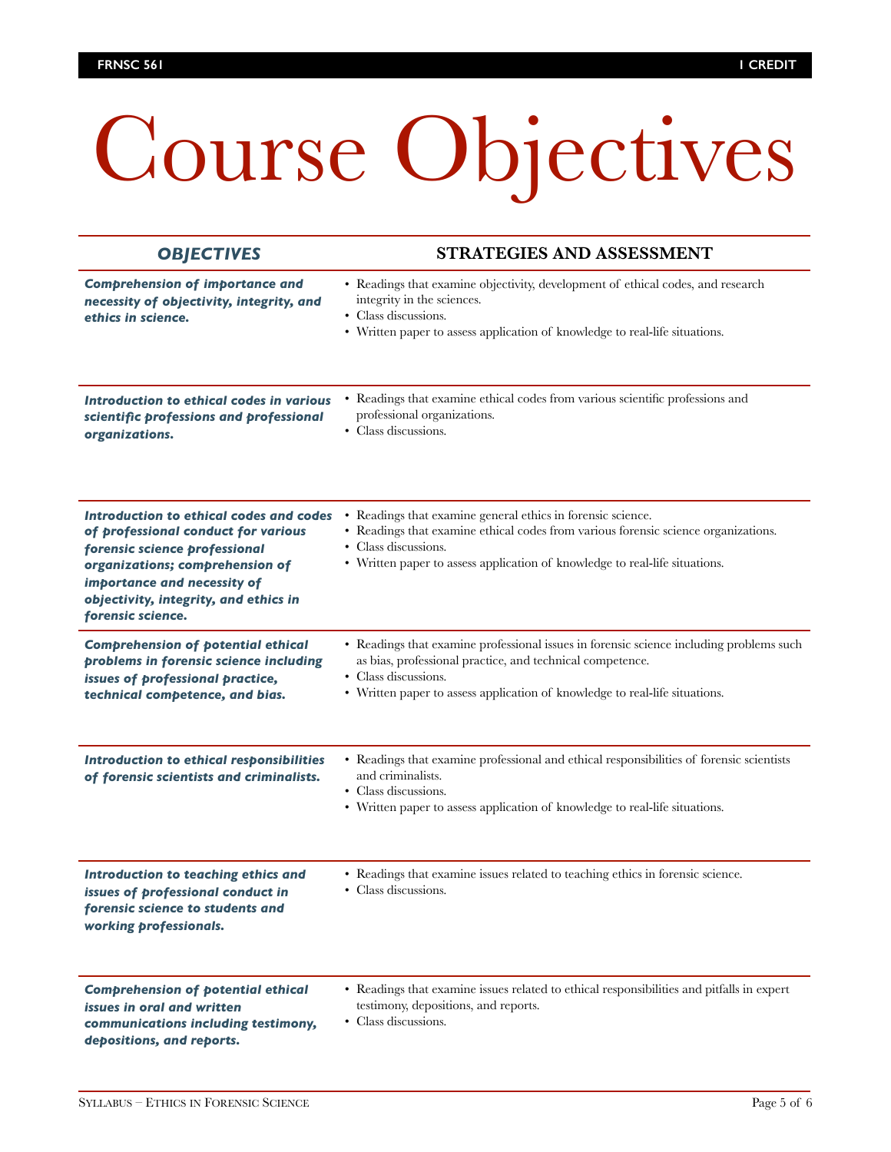# Course Objectives

| <b>OBJECTIVES</b>                                                                                                                                                                                                                               | STRATEGIES AND ASSESSMENT                                                                                                                                                                                                                                   |
|-------------------------------------------------------------------------------------------------------------------------------------------------------------------------------------------------------------------------------------------------|-------------------------------------------------------------------------------------------------------------------------------------------------------------------------------------------------------------------------------------------------------------|
| <b>Comprehension of importance and</b><br>necessity of objectivity, integrity, and<br>ethics in science.                                                                                                                                        | • Readings that examine objectivity, development of ethical codes, and research<br>integrity in the sciences.<br>• Class discussions.<br>• Written paper to assess application of knowledge to real-life situations.                                        |
| Introduction to ethical codes in various<br>scientific professions and professional<br>organizations.                                                                                                                                           | • Readings that examine ethical codes from various scientific professions and<br>professional organizations.<br>• Class discussions.                                                                                                                        |
| Introduction to ethical codes and codes<br>of professional conduct for various<br>forensic science professional<br>organizations; comprehension of<br>importance and necessity of<br>objectivity, integrity, and ethics in<br>forensic science. | • Readings that examine general ethics in forensic science.<br>• Readings that examine ethical codes from various forensic science organizations.<br>• Class discussions.<br>• Written paper to assess application of knowledge to real-life situations.    |
| <b>Comprehension of potential ethical</b><br>problems in forensic science including<br>issues of professional practice,<br>technical competence, and bias.                                                                                      | • Readings that examine professional issues in forensic science including problems such<br>as bias, professional practice, and technical competence.<br>• Class discussions.<br>• Written paper to assess application of knowledge to real-life situations. |
| <b>Introduction to ethical responsibilities</b><br>of forensic scientists and criminalists.                                                                                                                                                     | • Readings that examine professional and ethical responsibilities of forensic scientists<br>and criminalists.<br>• Class discussions.<br>• Written paper to assess application of knowledge to real-life situations.                                        |
| Introduction to teaching ethics and<br>issues of professional conduct in<br>forensic science to students and<br>working professionals.                                                                                                          | • Readings that examine issues related to teaching ethics in forensic science.<br>• Class discussions.                                                                                                                                                      |
| <b>Comprehension of potential ethical</b><br>issues in oral and written<br>communications including testimony,<br>depositions, and reports.                                                                                                     | • Readings that examine issues related to ethical responsibilities and pitfalls in expert<br>testimony, depositions, and reports.<br>• Class discussions.                                                                                                   |